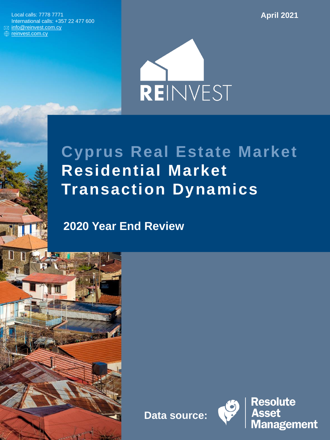Local calls: 7778 7771 International calls: +357 22 477 600 ⊠ [info@reinvest.com.cy](mailto:info@reinvest.com.cy) **<sup>₩</sup>** [reinvest.com.cy](https://reinvest.com.cy/)

**April 2021**



# **Cyprus Real Estate Market Residential Market Transaction Dynamics**

**2020 Year End Review**

**Data source:**



**Resolute Asset Management**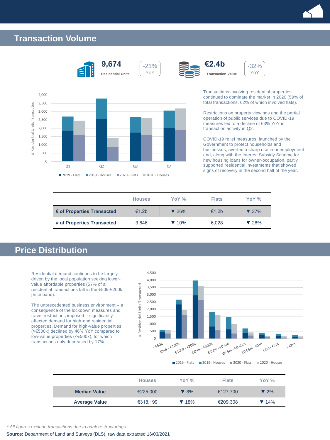

### **Transaction Volume**





Transactions involving residential properties continued to dominate the market in 2020 (59% of total transactions, 62% of which involved flats).

-32% YoY

**€2.4b**

Restrictions on property viewings and the partial operation of public services due to COVID-19 measures led to a decline of 63% YoY in transaction activity in Q2.

COVID-19 relief measures, launched by the Government to protect households and businesses, averted a sharp rise in unemployment and, along with the Interest Subsidy Scheme for new housing loans for owner-occupation, partly supported residential investments that showed signs of recovery in the second half of the year.

|                            | <b>Houses</b> | YoY %                    | <b>Flats</b>      | YoY %                    |
|----------------------------|---------------|--------------------------|-------------------|--------------------------|
| € of Properties Transacted | €1.2b         | $\blacktriangledown$ 26% | €1.2 <sub>b</sub> | $\blacktriangledown$ 37% |
| # of Properties Transacted | 3,646         | $\blacktriangledown$ 10% | 6,028             | $\blacktriangledown$ 26% |

YoY

## **Price Distribution**

Residential demand continues to be largely driven by the local population seeking lowervalue affordable properties (57% of all residential transactions fall in the €50k-€200k price band).

The unprecedented business environment – a consequence of the lockdown measures and travel restrictions imposed – significantly affected demand for high-end residential properties. Demand for high-value properties (>€500k) declined by 46% YoY compared to low-value properties (<€500k), for which transactions only decreased by 17%.



**Houses YoY % Flats YoY % Median Value**  $\leftarrow$  €225,000 **▼** 8% €127,700 **▼** 2% **Average Value**  $\epsilon$ 318,199 **▼** 18% €209,308 ▼ 14%

*\* All figures exclude transactions due to bank restructurings*

**Source:** Department of Land and Surveys (DLS), raw data extracted 16/03/2021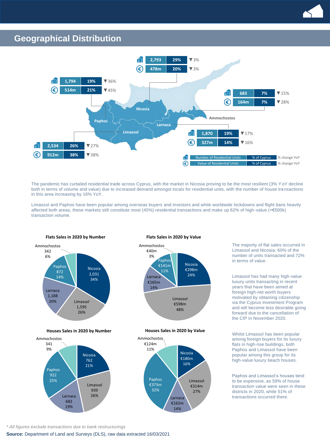

#### **Geographical Distribution**



The pandemic has curtailed residential trade across Cyprus, with the market in Nicosia proving to be the most resilient (3% YoY decline both in terms of volume and value) due to increased demand amongst locals for residential units, with the number of house tra nsactions in this area increasing by 16% YoY.

Limassol and Paphos have been popular among overseas buyers and investors and while worldwide lockdowns and flight bans heavily affected both areas, these markets still constitute most (45%) residential transactions and make up 62% of high-value (>€500k) transaction volume.



**Houses Sales in 2020 by Number Houses Sales in 2020 by Value**



#### **Flats Sales in 2020 by Number Flats Sales in 2020 by Value**





The majority of flat sales occurred in Limassol and Nicosia: 60% of the number of units transacted and 72% in terms of value.

Limassol has had many high-value luxury units transacting in recent years that have been aimed at foreign high-net worth buyers motivated by obtaining citizenship via the Cyprus Investment Program and will become less desirable going forward due to the cancellation of the CIP in November 2020.

Whilst Limassol has been popular among foreign buyers for its luxury flats in high-rise buildings, both Paphos and Limassol have been popular among this group for its high-value luxury beach houses.

Paphos and Limassol's houses tend to be expensive, as 59% of house transaction value were seen in these districts in 2020, while 51% of transactions occurred there.

*\* All figures exclude transactions due to bank restructurings*

**Source:** Department of Land and Surveys (DLS), raw data extracted 16/03/2021